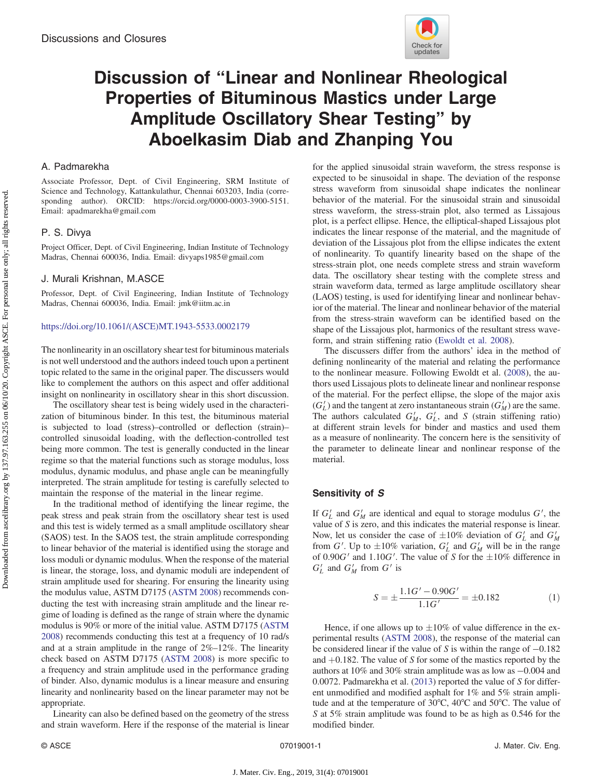

# Discussion of "Linear and Nonlinear Rheological Properties of Bituminous Mastics under Large Amplitude Oscillatory Shear Testing" by Aboelkasim Diab and Zhanping You

# A. Padmarekha

Associate Professor, Dept. of Civil Engineering, SRM Institute of Science and Technology, Kattankulathur, Chennai 603203, India (corresponding author). ORCID: [https://orcid.org/0000-0003-3900-5151.](https://orcid.org/0000-0003-3900-5151) Email: [apadmarekha@gmail.com](mailto:apadmarekha@gmail.com)

# P. S. Divya

Project Officer, Dept. of Civil Engineering, Indian Institute of Technology Madras, Chennai 600036, India. Email: [divyaps1985@gmail.com](mailto:divyaps1985@gmail.com)

## J. Murali Krishnan, M.ASCE

Professor, Dept. of Civil Engineering, Indian Institute of Technology Madras, Chennai 600036, India. Email: [jmk@iitm.ac.in](mailto:jmk@iitm.ac.in)

#### [https://doi.org/10.1061/\(ASCE\)MT.1943-5533.0002179](https://doi.org/10.1061/(ASCE)MT.1943-5533.0002179)

The nonlinearity in an oscillatory shear test for bituminous materials is not well understood and the authors indeed touch upon a pertinent topic related to the same in the original paper. The discussers would like to complement the authors on this aspect and offer additional insight on nonlinearity in oscillatory shear in this short discussion.

The oscillatory shear test is being widely used in the characterization of bituminous binder. In this test, the bituminous material is subjected to load (stress)–controlled or deflection (strain)– controlled sinusoidal loading, with the deflection-controlled test being more common. The test is generally conducted in the linear regime so that the material functions such as storage modulus, loss modulus, dynamic modulus, and phase angle can be meaningfully interpreted. The strain amplitude for testing is carefully selected to maintain the response of the material in the linear regime.

In the traditional method of identifying the linear regime, the peak stress and peak strain from the oscillatory shear test is used and this test is widely termed as a small amplitude oscillatory shear (SAOS) test. In the SAOS test, the strain amplitude corresponding to linear behavior of the material is identified using the storage and loss moduli or dynamic modulus. When the response of the material is linear, the storage, loss, and dynamic moduli are independent of strain amplitude used for shearing. For ensuring the linearity using the modulus value, ASTM D7175 ([ASTM 2008\)](#page-1-0) recommends conducting the test with increasing strain amplitude and the linear regime of loading is defined as the range of strain where the dynamic modulus is 90% or more of the initial value. ASTM D7175 ([ASTM](#page-1-0) [2008\)](#page-1-0) recommends conducting this test at a frequency of 10 rad/s and at a strain amplitude in the range of 2%–12%. The linearity check based on ASTM D7175 [\(ASTM 2008\)](#page-1-0) is more specific to a frequency and strain amplitude used in the performance grading of binder. Also, dynamic modulus is a linear measure and ensuring linearity and nonlinearity based on the linear parameter may not be appropriate.

Linearity can also be defined based on the geometry of the stress and strain waveform. Here if the response of the material is linear

for the applied sinusoidal strain waveform, the stress response is expected to be sinusoidal in shape. The deviation of the response stress waveform from sinusoidal shape indicates the nonlinear behavior of the material. For the sinusoidal strain and sinusoidal stress waveform, the stress-strain plot, also termed as Lissajous plot, is a perfect ellipse. Hence, the elliptical-shaped Lissajous plot indicates the linear response of the material, and the magnitude of deviation of the Lissajous plot from the ellipse indicates the extent of nonlinearity. To quantify linearity based on the shape of the stress-strain plot, one needs complete stress and strain waveform data. The oscillatory shear testing with the complete stress and strain waveform data, termed as large amplitude oscillatory shear (LAOS) testing, is used for identifying linear and nonlinear behavior of the material. The linear and nonlinear behavior of the material from the stress-strain waveform can be identified based on the shape of the Lissajous plot, harmonics of the resultant stress waveform, and strain stiffening ratio ([Ewoldt et al. 2008\)](#page-1-0).

The discussers differ from the authors' idea in the method of defining nonlinearity of the material and relating the performance to the nonlinear measure. Following Ewoldt et al. ([2008\)](#page-1-0), the authors used Lissajous plots to delineate linear and nonlinear response of the material. For the perfect ellipse, the slope of the major axis  $(G'_L)$  and the tangent at zero instantaneous strain  $(G'_M)$  are the same. The authors calculated  $G'_M$ ,  $G'_L$ , and S (strain stiffening ratio) at different strain levels for binder and mastics and used them as a measure of nonlinearity. The concern here is the sensitivity of the parameter to delineate linear and nonlinear response of the material.

# Sensitivity of S

If  $G'_{L}$  and  $G'_{M}$  are identical and equal to storage modulus  $G'$ , the value of S is zero, and this indicates the material response is linear. Now, let us consider the case of  $\pm 10\%$  deviation of  $G'_{L}$  and  $G'_{M}$ from G'. Up to  $\pm 10\%$  variation,  $G'_{L}$  and  $G'_{M}$  will be in the range of  $0.90G'$  and  $1.10G'$ . The value of S for the  $\pm 10\%$  difference in  $G'_{L}$  and  $G'_{M}$  from  $G'$  is

$$
S = \pm \frac{1.1G' - 0.90G'}{1.1G'} = \pm 0.182
$$
 (1)

Hence, if one allows up to  $\pm 10\%$  of value difference in the experimental results ([ASTM 2008\)](#page-1-0), the response of the material can be considered linear if the value of S is within the range of −0.182 and  $+0.182$ . The value of S for some of the mastics reported by the authors at 10% and 30% strain amplitude was as low as −0.004 and 0.0072. Padmarekha et al. [\(2013](#page-2-0)) reported the value of S for different unmodified and modified asphalt for 1% and 5% strain amplitude and at the temperature of 30°C, 40°C and 50°C. The value of S at 5% strain amplitude was found to be as high as 0.546 for the modified binder.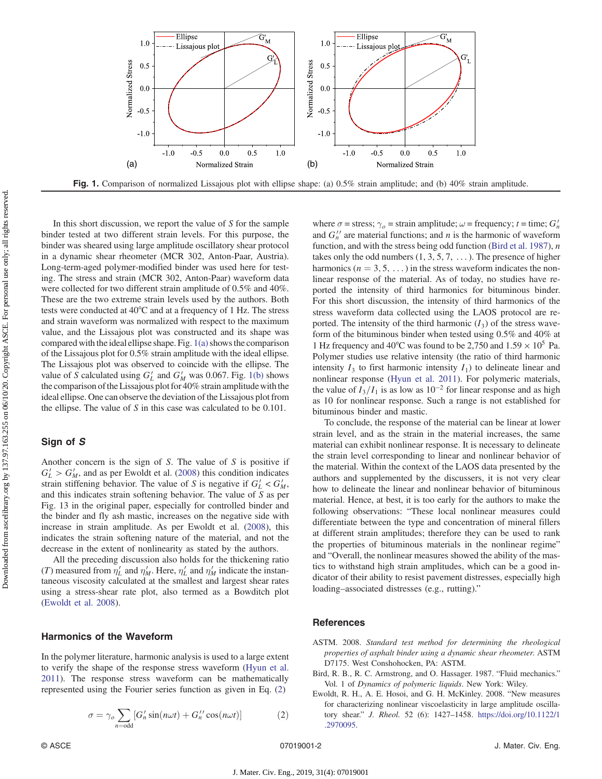<span id="page-1-0"></span>

In this short discussion, we report the value of  $S$  for the sample binder tested at two different strain levels. For this purpose, the binder was sheared using large amplitude oscillatory shear protocol in a dynamic shear rheometer (MCR 302, Anton-Paar, Austria). Long-term-aged polymer-modified binder was used here for testing. The stress and strain (MCR 302, Anton-Paar) waveform data were collected for two different strain amplitude of 0.5% and 40%. These are the two extreme strain levels used by the authors. Both tests were conducted at 40°C and at a frequency of 1 Hz. The stress and strain waveform was normalized with respect to the maximum value, and the Lissajous plot was constructed and its shape was compared with the ideal ellipse shape. Fig.  $1(a)$  shows the comparison of the Lissajous plot for 0.5% strain amplitude with the ideal ellipse. The Lissajous plot was observed to coincide with the ellipse. The value of S calculated using  $G'_{L}$  and  $G'_{M}$  was 0.067. Fig. 1(b) shows the comparison of the Lissajous plot for 40% strain amplitude with the ideal ellipse. One can observe the deviation of the Lissajous plot from the ellipse. The value of S in this case was calculated to be 0.101.

## Sign of S

Another concern is the sign of  $S$ . The value of  $S$  is positive if  $G'_{L} > G'_{M}$ , and as per Ewoldt et al. (2008) this condition indicates strain stiffening behavior. The value of S is negative if  $G'_{L} < G'_{M}$ , and this indicates strain softening behavior. The value of S as per Fig. 13 in the original paper, especially for controlled binder and the binder and fly ash mastic, increases on the negative side with increase in strain amplitude. As per Ewoldt et al. (2008), this indicates the strain softening nature of the material, and not the decrease in the extent of nonlinearity as stated by the authors.

All the preceding discussion also holds for the thickening ratio (T) measured from  $\eta'_{L}$  and  $\eta'_{M}$ . Here,  $\eta'_{L}$  and  $\eta'_{M}$  indicate the instantaneous viscosity calculated at the smallest and largest shear rates using a stress-shear rate plot, also termed as a Bowditch plot (Ewoldt et al. 2008).

## Harmonics of the Waveform

In the polymer literature, harmonic analysis is used to a large extent to verify the shape of the response stress waveform [\(Hyun et al.](#page-2-0) [2011](#page-2-0)). The response stress waveform can be mathematically represented using the Fourier series function as given in Eq. (2)

$$
\sigma = \gamma_o \sum_{n=\text{odd}} [G'_n \sin(n\omega t) + G''_n \cos(n\omega t)] \tag{2}
$$

where  $\sigma$  = stress;  $\gamma_o$  = strain amplitude;  $\omega$  = frequency; t = time;  $G'_n$ and  $G_n''$  are material functions; and *n* is the harmonic of waveform function, and with the stress being odd function (Bird et al. 1987), *n* takes only the odd numbers  $(1, 3, 5, 7, ...)$ . The presence of higher harmonics ( $n = 3, 5, ...$ ) in the stress waveform indicates the nonlinear response of the material. As of today, no studies have reported the intensity of third harmonics for bituminous binder. For this short discussion, the intensity of third harmonics of the stress waveform data collected using the LAOS protocol are reported. The intensity of the third harmonic  $(I_3)$  of the stress waveform of the bituminous binder when tested using 0.5% and 40% at 1 Hz frequency and 40°C was found to be 2,750 and  $1.59 \times 10^5$  Pa. Polymer studies use relative intensity (the ratio of third harmonic intensity  $I_3$  to first harmonic intensity  $I_1$ ) to delineate linear and nonlinear response [\(Hyun et al. 2011](#page-2-0)). For polymeric materials, the value of  $I_3/I_1$  is as low as 10<sup>-2</sup> for linear response and as high as 10 for nonlinear response. Such a range is not established for bituminous binder and mastic.

To conclude, the response of the material can be linear at lower strain level, and as the strain in the material increases, the same material can exhibit nonlinear response. It is necessary to delineate the strain level corresponding to linear and nonlinear behavior of the material. Within the context of the LAOS data presented by the authors and supplemented by the discussers, it is not very clear how to delineate the linear and nonlinear behavior of bituminous material. Hence, at best, it is too early for the authors to make the following observations: "These local nonlinear measures could differentiate between the type and concentration of mineral fillers at different strain amplitudes; therefore they can be used to rank the properties of bituminous materials in the nonlinear regime" and "Overall, the nonlinear measures showed the ability of the mastics to withstand high strain amplitudes, which can be a good indicator of their ability to resist pavement distresses, especially high loading–associated distresses (e.g., rutting)."

## **References**

- ASTM. 2008. Standard test method for determining the rheological properties of asphalt binder using a dynamic shear rheometer. ASTM D7175. West Conshohocken, PA: ASTM.
- Bird, R. B., R. C. Armstrong, and O. Hassager. 1987. "Fluid mechanics." Vol. 1 of Dynamics of polymeric liquids. New York: Wiley.
- Ewoldt, R. H., A. E. Hosoi, and G. H. McKinley. 2008. "New measures for characterizing nonlinear viscoelasticity in large amplitude oscillatory shear." J. Rheol. 52 (6): 1427–1458. [https://doi.org/10.1122/1](https://doi.org/10.1122/1.2970095) [.2970095.](https://doi.org/10.1122/1.2970095)